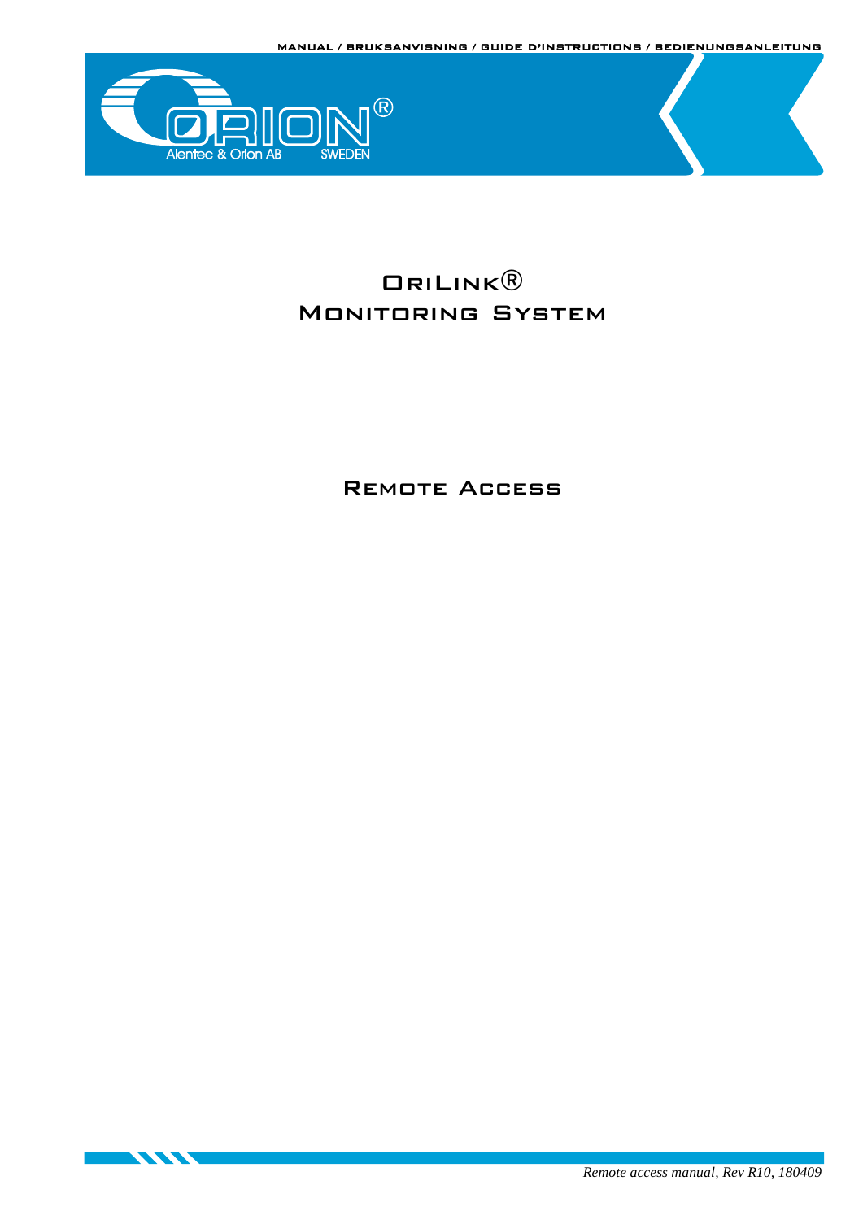



<u> Karatan Sumaal Karatan Ing Bandara Ing Bandara Ing Bandara Ing Bandara Ing Bandara Ing Bandara Ing Bandara Ing Bandara Ing Bandara Ing Bandara Ing Bandara Ing Bandara Ing Bandara Ing Bandara Ing Bandara Ing Bandara Ing B</u>

# ORILINK<sup>®</sup> Monitoring System

Remote Access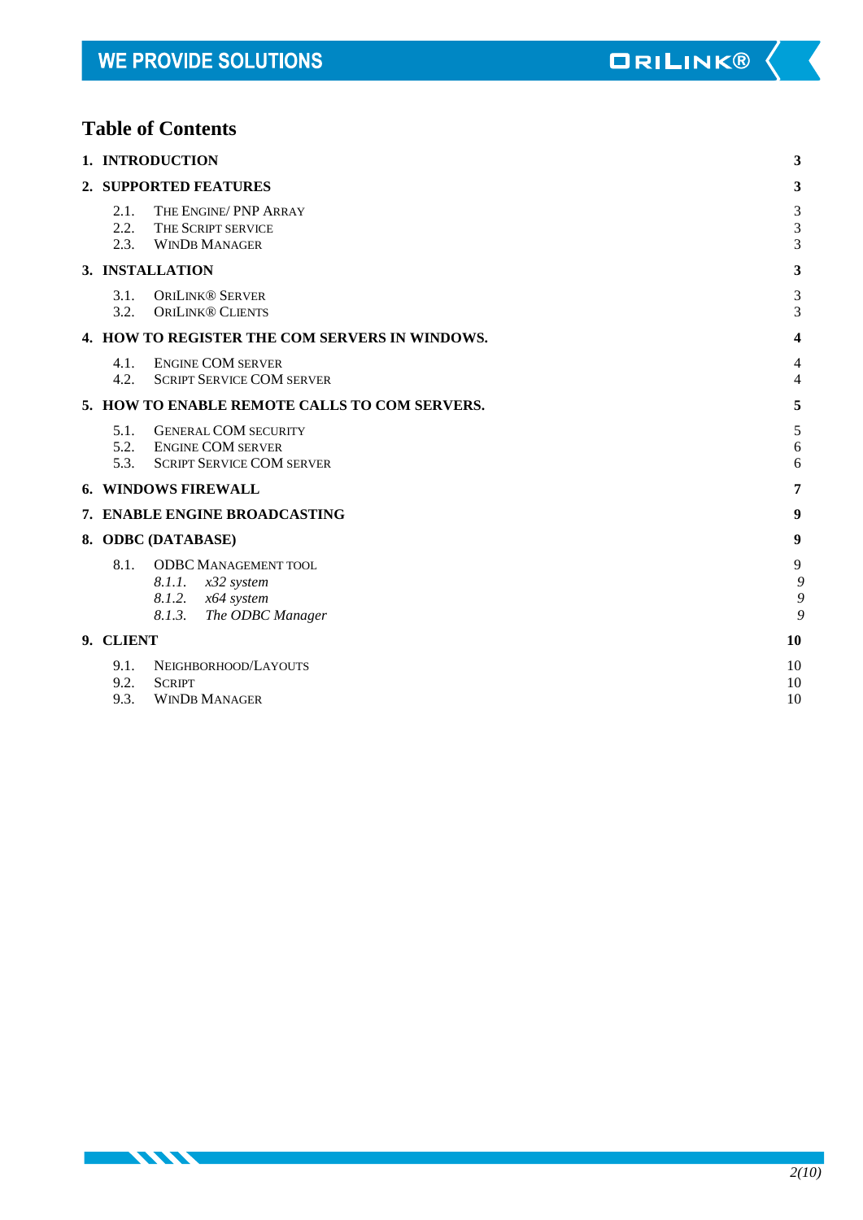# **Table of Contents**

**STATISTICS** 

| 1. INTRODUCTION      |                                                                                                     |                      |
|----------------------|-----------------------------------------------------------------------------------------------------|----------------------|
|                      | 2. SUPPORTED FEATURES                                                                               | 3                    |
| 2.1.<br>2.2.<br>2.3. | THE ENGINE/ PNP ARRAY<br>THE SCRIPT SERVICE<br><b>WINDB MANAGER</b>                                 | $\sqrt{3}$<br>3<br>3 |
|                      | 3. INSTALLATION                                                                                     | 3                    |
| 3.1.<br>3.2.         | <b>ORILINK® SERVER</b><br><b>ORILINK® CLIENTS</b>                                                   | 3<br>3               |
|                      | 4. HOW TO REGISTER THE COM SERVERS IN WINDOWS.                                                      | 4                    |
| 4.1.<br>4.2.         | <b>ENGINE COM SERVER</b><br><b>SCRIPT SERVICE COM SERVER</b>                                        | 4<br>4               |
|                      | 5. HOW TO ENABLE REMOTE CALLS TO COM SERVERS.                                                       | 5                    |
| 5.1.<br>5.2.<br>5.3. | <b>GENERAL COM SECURITY</b><br><b>ENGINE COM SERVER</b><br><b>SCRIPT SERVICE COM SERVER</b>         | 5<br>6<br>6          |
|                      | <b>6. WINDOWS FIREWALL</b>                                                                          | 7                    |
|                      | 7. ENABLE ENGINE BROADCASTING                                                                       | 9                    |
|                      | 8. ODBC (DATABASE)                                                                                  | 9                    |
| 8.1.                 | <b>ODBC MANAGEMENT TOOL</b><br>8.1.1. x32 system<br>8.1.2. x64 system<br>8.1.3.<br>The ODBC Manager | 9<br>9<br>9<br>g     |
| 9. CLIENT            |                                                                                                     | 10                   |
| 9.1.<br>9.2.<br>9.3. | NEIGHBORHOOD/LAYOUTS<br><b>SCRIPT</b><br><b>WINDB MANAGER</b>                                       | 10<br>10<br>10       |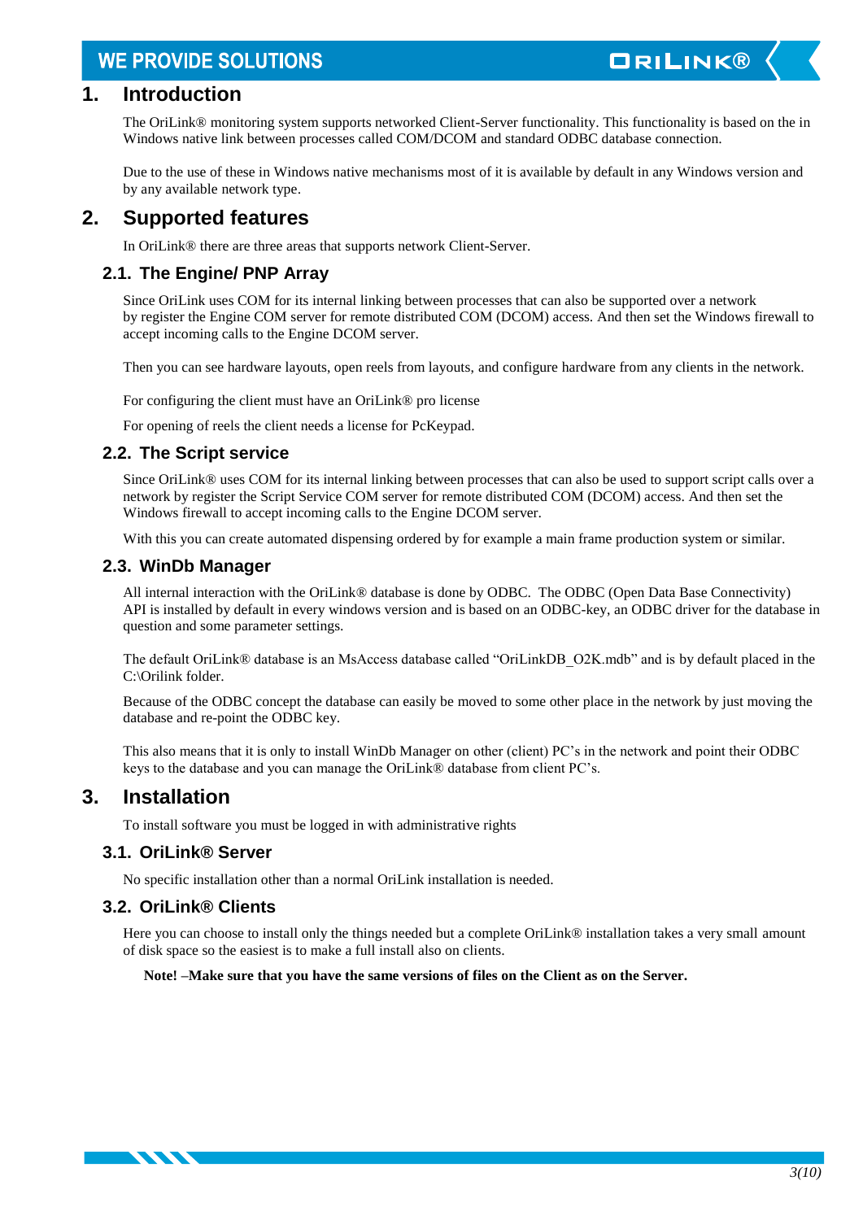# **ORILINK®**

## <span id="page-2-0"></span>**1. Introduction**

The OriLink® monitoring system supports networked Client-Server functionality. This functionality is based on the in Windows native link between processes called COM/DCOM and standard ODBC database connection.

Due to the use of these in Windows native mechanisms most of it is available by default in any Windows version and by any available network type.

## <span id="page-2-1"></span>**2. Supported features**

In OriLink® there are three areas that supports network Client-Server.

### <span id="page-2-2"></span>**2.1. The Engine/ PNP Array**

Since OriLink uses COM for its internal linking between processes that can also be supported over a network by register the Engine COM server for remote distributed COM (DCOM) access. And then set the Windows firewall to accept incoming calls to the Engine DCOM server.

Then you can see hardware layouts, open reels from layouts, and configure hardware from any clients in the network.

For configuring the client must have an OriLink® pro license

For opening of reels the client needs a license for PcKeypad.

### <span id="page-2-3"></span>**2.2. The Script service**

Since OriLink® uses COM for its internal linking between processes that can also be used to support script calls over a network by register the Script Service COM server for remote distributed COM (DCOM) access. And then set the Windows firewall to accept incoming calls to the Engine DCOM server.

With this you can create automated dispensing ordered by for example a main frame production system or similar.

### <span id="page-2-4"></span>**2.3. WinDb Manager**

All internal interaction with the OriLink® database is done by ODBC. The ODBC (Open Data Base Connectivity) API is installed by default in every windows version and is based on an ODBC-key, an ODBC driver for the database in question and some parameter settings.

The default OriLink® database is an MsAccess database called "OriLinkDB\_O2K.mdb" and is by default placed in the C:\Orilink folder.

Because of the ODBC concept the database can easily be moved to some other place in the network by just moving the database and re-point the ODBC key.

This also means that it is only to install WinDb Manager on other (client) PC's in the network and point their ODBC keys to the database and you can manage the OriLink® database from client PC's.

## <span id="page-2-5"></span>**3. Installation**

**TANA TANÀNA MANDE** 

To install software you must be logged in with administrative rights

### <span id="page-2-6"></span>**3.1. OriLink® Server**

No specific installation other than a normal OriLink installation is needed.

### <span id="page-2-7"></span>**3.2. OriLink® Clients**

Here you can choose to install only the things needed but a complete OriLink® installation takes a very small amount of disk space so the easiest is to make a full install also on clients.

### **Note! –Make sure that you have the same versions of files on the Client as on the Server.**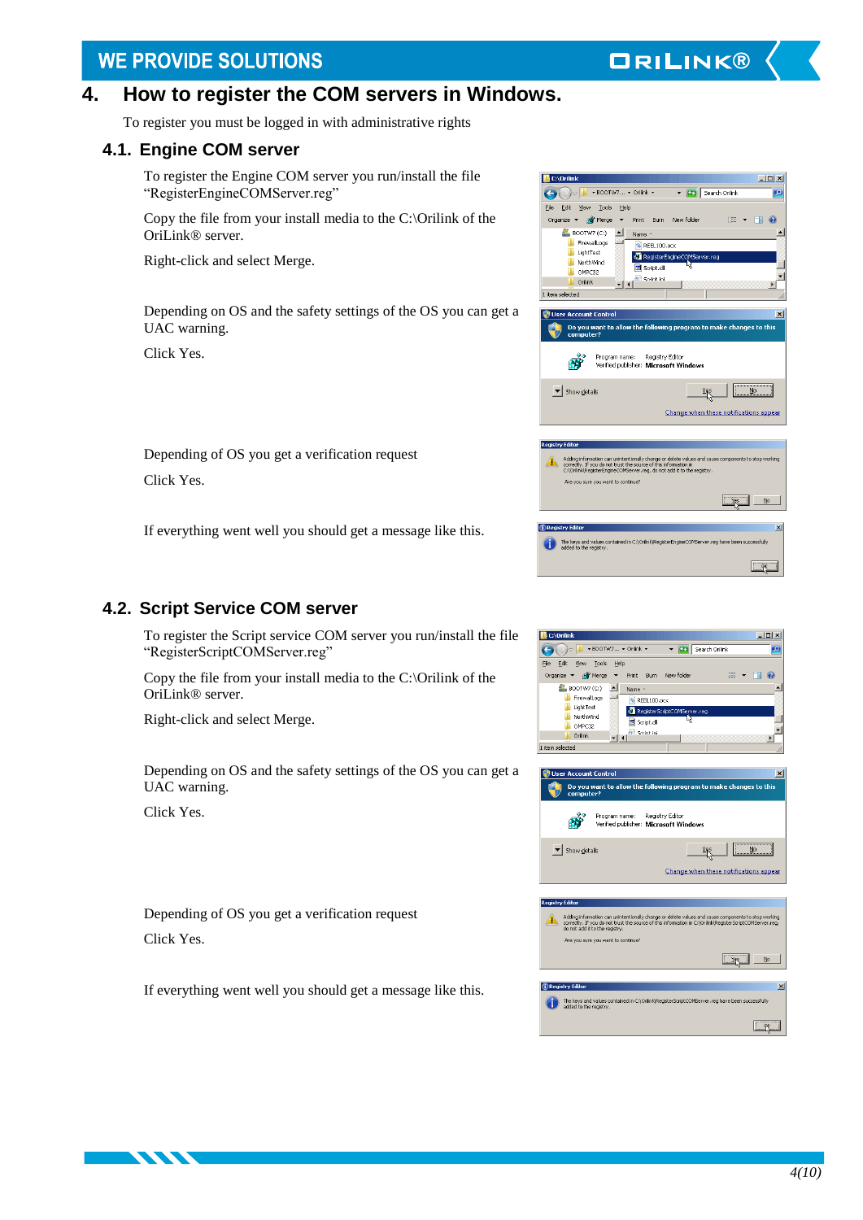## <span id="page-3-0"></span>**4. How to register the COM servers in Windows.**

To register you must be logged in with administrative rights

### <span id="page-3-1"></span>**4.1. Engine COM server**

To register the Engine COM server you run/install the file "RegisterEngineCOMServer.reg"

Copy the file from your install media to the C:\Orilink of the OriLink® server.

Right-click and select Merge.

Depending on OS and the safety settings of the OS you can get a UAC warning.

Click Yes.

| New folder<br>Organize<br>an Merge<br>Print<br><b>Burn</b><br>XE.                                                                                                                                                                                                                      |
|----------------------------------------------------------------------------------------------------------------------------------------------------------------------------------------------------------------------------------------------------------------------------------------|
| $B$ BOOTW7 (C:)<br>Name -<br>FirewallLogs<br>REEL100.ocx<br>LightTest<br>RegisterEngineCOMServer.reg<br>NorthWind<br>圖 Script.dll<br>OMPC32<br>Script ini<br>Orilink<br>1 item selected                                                                                                |
| <b>User Account Control</b><br>×                                                                                                                                                                                                                                                       |
| Do you want to allow the following program to make changes to this<br>computer?                                                                                                                                                                                                        |
| Program name:<br>Registry Editor<br>Verified publisher: Microsoft Windows                                                                                                                                                                                                              |
| Show details<br>No<br>Change when these notifications appear                                                                                                                                                                                                                           |
|                                                                                                                                                                                                                                                                                        |
| <b>Registry Editor</b>                                                                                                                                                                                                                                                                 |
| Adding information can unintentionally change or delete values and cause components to stop working<br>correctly. If you do not trust the source of this information in<br>C:\Orilnk\RegisterEngineCOMServer.reg, do not add it to the registry.<br>Are you sure you want to continue? |
| No                                                                                                                                                                                                                                                                                     |
|                                                                                                                                                                                                                                                                                        |
| <b>Registry Editor</b><br>$\vert x \vert$<br>The keys and values contained in C:\Oriink\RegisterEngineCOMServer.reg have been successfully<br>added to the registry.                                                                                                                   |

**ORILINK®** 

▼ <mark>(2)</mark> Search Orilink

 $\frac{1}{2}$ 

**BS** 

 $\blacksquare$ 

 $\bigodot$   $\bigodot$   $\blacksquare$   $\bullet$  BOOTW7...  $\star$  Orilink  $\star$ 

File Edit View Tools Help

Depending of OS you get a verification request Click Yes.

If everything went well you should get a message like this.

## <span id="page-3-2"></span>**4.2. Script Service COM server**

To register the Script service COM server you run/install the file "RegisterScriptCOMServer.reg"

Copy the file from your install media to the C:\Orilink of the OriLink® server.

Right-click and select Merge.

Depending on OS and the safety settings of the OS you can get a UAC warning.

Click Yes.

Depending of OS you get a verification request Click Yes.

If everything went well you should get a message like this.



| <b>User Account Control</b>                                                     | ×                                                                                                                                                                                                              |  |
|---------------------------------------------------------------------------------|----------------------------------------------------------------------------------------------------------------------------------------------------------------------------------------------------------------|--|
| Do you want to allow the following program to make changes to this<br>computer? |                                                                                                                                                                                                                |  |
| Program name:<br>Verified publisher: Microsoft Windows                          | Registry Editor                                                                                                                                                                                                |  |
| Show details                                                                    | Nη                                                                                                                                                                                                             |  |
|                                                                                 | Change when these notifications appear                                                                                                                                                                         |  |
|                                                                                 |                                                                                                                                                                                                                |  |
| <b>Registry Editor</b>                                                          |                                                                                                                                                                                                                |  |
| do not add it to the registry.                                                  | Adding information can unintentionally change or delete values and cause components to stop working<br>correctly. If you do not trust the source of this information in C:\Oriink\RegisterScriptCOMServer.reg, |  |
| Are you sure you want to continue?                                              |                                                                                                                                                                                                                |  |
|                                                                                 | No                                                                                                                                                                                                             |  |
|                                                                                 |                                                                                                                                                                                                                |  |
| <b>Registry Editor</b>                                                          | $\vert x \vert$                                                                                                                                                                                                |  |
| added to the registry.                                                          | The keys and values contained in C:\Orilink\RegisterScriptCOMServer.reg have been successfully                                                                                                                 |  |
|                                                                                 |                                                                                                                                                                                                                |  |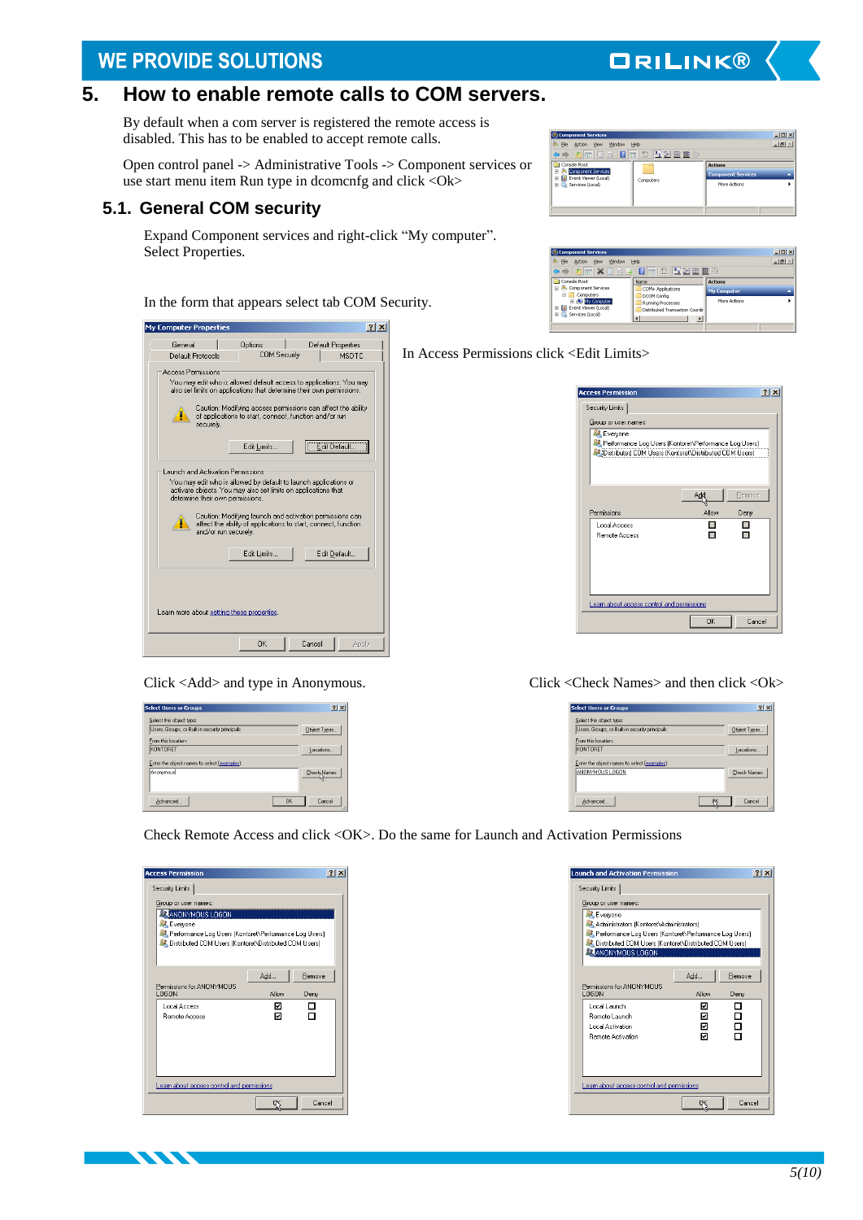## <span id="page-4-0"></span>**5. How to enable remote calls to COM servers.**

By default when a com server is registered the remote access is disabled. This has to be enabled to accept remote calls.

Open control panel -> Administrative Tools -> Component services or use start menu item Run type in dcomcnfg and click <Ok>

## <span id="page-4-1"></span>**5.1. General COM security**

Expand Component services and right-click "My computer". Select Properties.

In the form that appears select tab COM Security.



| <b>Select Users or Groups</b>                  |           | 2 X          |
|------------------------------------------------|-----------|--------------|
| Select this object type:                       |           |              |
| Users, Groups, or Built-in security principals |           | Object Types |
| From this location:                            |           |              |
| KONTORET                                       |           | Locations    |
| Enter the object names to select [examples]:   |           |              |
| Anonymous                                      |           | Check Names  |
|                                                |           |              |
|                                                |           |              |
| Advanced                                       | <b>OK</b> | Cancel       |

| Component Services                                            |           |                           | $   \times$  |
|---------------------------------------------------------------|-----------|---------------------------|--------------|
| o. File<br>Window<br>Action<br><b>View</b>                    | Help      |                           | $-10 \times$ |
| ◆◆   2   6   8   8   8   6   1   1   1   1   2   2   1   1    | 弱         |                           |              |
| Console Root                                                  |           | <b>Actions</b>            |              |
| Component Services<br>团<br><b>E</b> Event Viewer (Local)<br>囲 |           | <b>Component Services</b> |              |
| El Co. Services (Local)                                       | Computers | More Actions              |              |
|                                                               |           |                           |              |
|                                                               |           |                           |              |
|                                                               |           |                           |              |

**ORILINK®** 

| Component Services<br>o, File<br>Window<br>View<br>Action                           | Help                                                                          |                    | $  D $ $\times$<br>$L = \frac{1}{2}$ |
|-------------------------------------------------------------------------------------|-------------------------------------------------------------------------------|--------------------|--------------------------------------|
|                                                                                     |                                                                               |                    |                                      |
| Console Root                                                                        | Name                                                                          | <b>Actions</b>     |                                      |
| Component Services<br>Computers                                                     | COM+ Applications<br><b>DCOM Config</b>                                       | <b>My Computer</b> |                                      |
| El My Computer<br>El <b>El</b> Event Viewer (Local)<br><b>H</b> C. Services (Local) | Running Processes<br><b>Distributed Transaction Coordin</b><br>$\blacksquare$ | More Actions       |                                      |

In Access Permissions click <Edit Limits>

| <b>Access Permission</b>                                                                                                                 |             | 71x            |
|------------------------------------------------------------------------------------------------------------------------------------------|-------------|----------------|
| Security Limits                                                                                                                          |             |                |
| Group or user names:                                                                                                                     |             |                |
| Everyone<br><b>A</b> Performance Log Users (Kontoret\Performance Log Users)<br>87 Distributed CDM Users (Kontoret\Distributed CDM Users) |             |                |
| Permissions                                                                                                                              | Ad<br>Allow | Remove<br>Denv |
| Local Access<br><b>Bemote Access</b>                                                                                                     |             |                |
| Learn about access control and permissions                                                                                               | <b>OK</b>   | Cancel         |

### Click <Add> and type in Anonymous. Click <Check Names> and then click <Ok>

| <b>Select Users or Groups</b>                  | $?$ $\times$       |
|------------------------------------------------|--------------------|
| Select this object type:                       |                    |
| Users, Groups, or Built-in security principals | Object Types.      |
| From this location:                            |                    |
| KONTORET                                       | Locations          |
| Enter the object names to select (examples):   |                    |
| ANONYMOUS LOGON                                | <b>Check Names</b> |
| Advanced                                       | Cancel             |

Check Remote Access and click <OK>. Do the same for Launch and Activation Permissions

| <b>Access Permission</b>                                                                                                                   |       | 71x    |
|--------------------------------------------------------------------------------------------------------------------------------------------|-------|--------|
| Security Limits                                                                                                                            |       |        |
| Group or user names:                                                                                                                       |       |        |
| ANONYMOUS LOGON                                                                                                                            |       |        |
| Everyone<br>St. Performance Log Users (Kontoret\Performance Log Users)<br><b>87</b> Distributed COM Users (Kontoret\Distributed COM Users) |       |        |
|                                                                                                                                            | Add   | Remove |
| Permissions for ANDNYMOUS<br>LOGON                                                                                                         | Allow | Deny   |
| <b>Local Access</b>                                                                                                                        | ाज    |        |
| <b>Remote Access</b>                                                                                                                       | ⊽     |        |
| Learn about access control and permissions                                                                                                 |       |        |
|                                                                                                                                            |       | Cancel |

**KANA** 



| $\Box$ $\Box$ $\times$ $\Box$ |  |
|-------------------------------|--|
| $-101$                        |  |
|                               |  |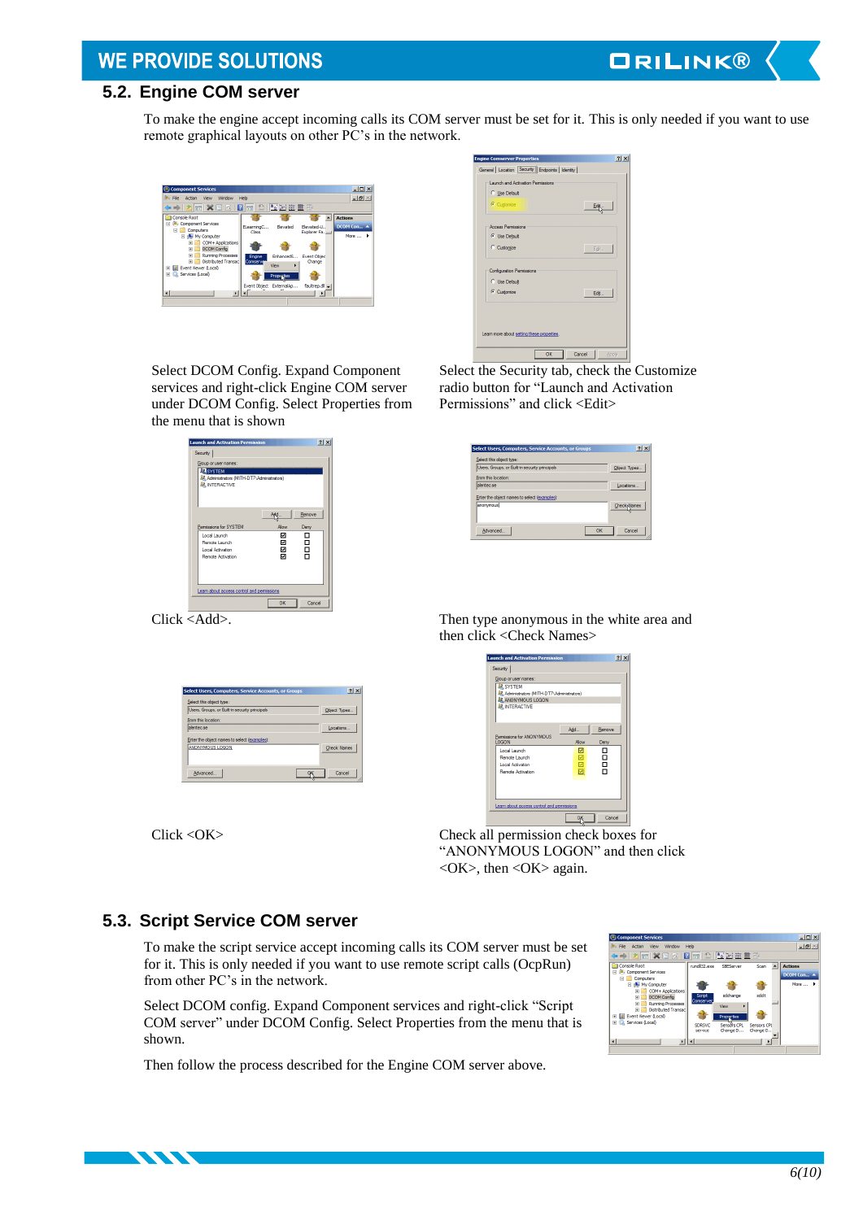# **ORILINK®**

# <span id="page-5-0"></span>**5.2. Engine COM server**

To make the engine accept incoming calls its COM server must be set for it. This is only needed if you want to use remote graphical layouts on other PC's in the network.



eral | Location | Security | Endpoints | Identity .<br>Shimod Antis C Use Default  $rac{E}{\sqrt{2}}$ C Use Default  $\sim$ C. Collection ore about <u>setting these properti</u>e OK Cancel

Select the Security tab, check the Customize radio button for "Launch and Activation Permissions" and click <Edit>

| <b>Select Users, Computers, Service Accounts, or Groups</b> | 2x                  |
|-------------------------------------------------------------|---------------------|
| Select this object type:                                    |                     |
| Users, Groups, or Built-in security principals              | Object Types        |
| From this location:                                         |                     |
| alenten se                                                  | Locations           |
| Enter the object names to select (examples):                |                     |
| anonymous                                                   | <b>Check</b> -Names |
|                                                             |                     |
|                                                             |                     |
| OK<br>Advanced                                              | Cancel              |

Select DCOM Config. Expand Component services and right-click Engine COM server under DCOM Config. Select Properties from the menu that is shown

| <b>Launch and Activation Permission</b>         |        | $?$ $\times$ |
|-------------------------------------------------|--------|--------------|
| Security                                        |        |              |
| Group or user names:                            |        |              |
| <b>R</b> SYSTEM                                 |        |              |
| 82. Administrators (MITH-DT7\Administrators)    |        |              |
| <b>SR INTERACTIVE</b>                           |        |              |
|                                                 |        |              |
|                                                 |        |              |
|                                                 |        | Remove       |
|                                                 |        |              |
| Permissions for SYSTEM                          | Allow  | Derw         |
| Local Launch                                    | ⊡      | □            |
| <b>Remote Launch</b><br><b>Local Activation</b> | ⊡<br>⊠ | 8<br>8       |
| <b>Remote Activation</b>                        | м      |              |
|                                                 |        |              |
|                                                 |        |              |
|                                                 |        |              |
|                                                 |        |              |
| Learn about access control and permissions      |        |              |
|                                                 | OK     | Cancel       |
|                                                 |        |              |

| Select this object type:                      |                    |
|-----------------------------------------------|--------------------|
| Users, Groups, or Bult-in security principals | Object Types       |
| From this location:                           |                    |
| alentec se                                    | Locations          |
| Enter the object names to select (examples):  |                    |
| <b>ANONYMOUS LOGON</b>                        | <b>Check Names</b> |
|                                               |                    |

**TANA SERVICE SERVICE** 

Click <Add>. Then type anonymous in the white area and then click <Check Names>



Click <OK> Check all permission check boxes for "ANONYMOUS LOGON" and then click  $\langle$ OK $>$ , then  $\langle$ OK $>$  again.

### <span id="page-5-1"></span>**5.3. Script Service COM server**

To make the script service accept incoming calls its COM server must be set for it. This is only needed if you want to use remote script calls (OcpRun) from other PC's in the network.

Select DCOM config. Expand Component services and right-click "Script COM server" under DCOM Config. Select Properties from the menu that is shown.

Then follow the process described for the Engine COM server above.

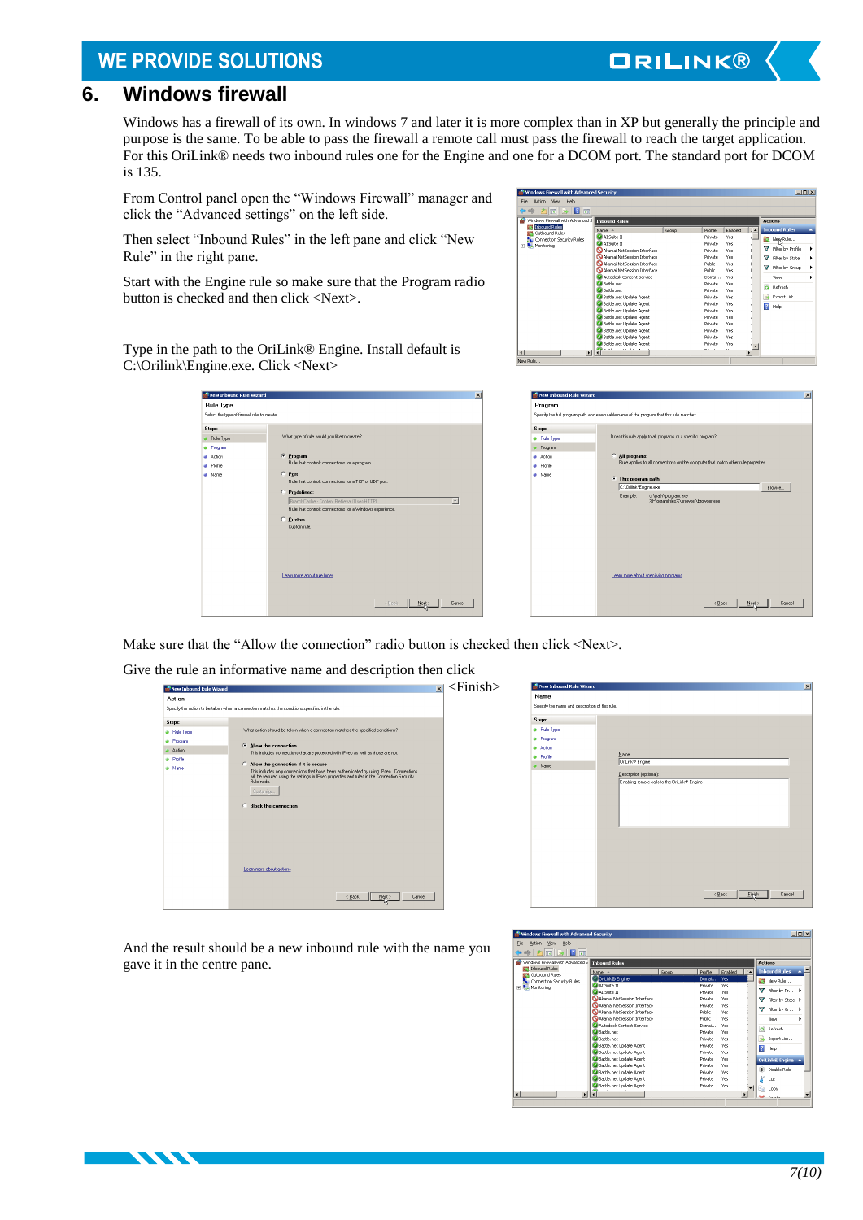## <span id="page-6-0"></span>**6. Windows firewall**

Windows has a firewall of its own. In windows 7 and later it is more complex than in XP but generally the principle and purpose is the same. To be able to pass the firewall a remote call must pass the firewall to reach the target application. For this OriLink® needs two inbound rules one for the Engine and one for a DCOM port. The standard port for DCOM is 135.

From Control panel open the "Windows Firewall" manager and click the "Advanced settings" on the left side.

Then select "Inbound Rules" in the left pane and click "New Rule" in the right pane.

Start with the Engine rule so make sure that the Program radio button is checked and then click <Next>.

Type in the path to the OriLink® Engine. Install default is C:\Orilink\Engine.exe. Click <Next>

| New Inbound Rule Wizard                                         | $\vert x \vert$                                                                                                                                                                                                                                                                                                                               |
|-----------------------------------------------------------------|-----------------------------------------------------------------------------------------------------------------------------------------------------------------------------------------------------------------------------------------------------------------------------------------------------------------------------------------------|
| <b>Rule Type</b><br>Select the tupe of firewall rule to create. |                                                                                                                                                                                                                                                                                                                                               |
| Steps:<br>Rule Type<br>Program<br>Action<br>Profile<br>Name     | What type of rule would you like to create?<br>C Program<br>Rule that controls connections for a program.<br>$C$ Port<br>Rule that controls connections for a TCP or UDP port.<br>C Predefined:<br>BranchCache - Content Retrieval (Uses HTTP)<br>iw.<br>Rule that controls connections for a Windows experience.<br>C Custom<br>Custom rule. |
|                                                                 | Learn more about rule types<br>< Back<br>Cancel<br>Next:                                                                                                                                                                                                                                                                                      |

| File<br>Action<br><b>View</b><br>Help  |                                            |       |          |            |           |                        |
|----------------------------------------|--------------------------------------------|-------|----------|------------|-----------|------------------------|
| $2\pi$<br>$\Rightarrow$                |                                            |       |          |            |           |                        |
| Windows Firewall with Advanced S       | <b>Tobound Rules</b>                       |       |          |            |           | <b>Actions</b>         |
| <b>Inbound Rules</b><br>Outbound Rules | Name A                                     | Group | Profile  | Enabled    | $\lambda$ | <b>Inhound Rules</b>   |
| Connection Security Rules              | Al Sute II                                 |       | Private  | <b>Yes</b> |           | <b>New Rule</b>        |
| Monitoring                             | Al Sute II                                 |       | Private  | <b>Yes</b> |           |                        |
|                                        | Akamai NetSession Interface                |       | Private  | <b>Yes</b> |           | v<br>Filter by Profile |
|                                        | Akamai NetSession Interface                |       | Private  | <b>Yes</b> | F         | T Filter by State      |
|                                        | <b>Qakamai NetSession Interface</b>        |       | Public.  | <b>Yes</b> |           |                        |
|                                        | Akamai NetSession Interface                |       | Public   | Yes.       |           | Filter by Group<br>v   |
|                                        | Autodesk Content Service                   |       | Domai    | <b>Yes</b> |           | View                   |
|                                        | CA Battle.net                              |       | Private  | <b>Yes</b> |           |                        |
|                                        | <b>CA</b> Battle, net                      |       | Private  | Yes        |           | Refresh<br>$\alpha$    |
|                                        | Battle.net Update Agent                    |       | Private  | <b>Yes</b> |           | Export List            |
|                                        | Battle.net Undate Agent                    |       | Private  | <b>Yes</b> |           | $\overline{z}$<br>Help |
|                                        | C Battle.net Update Agent                  |       | Private  | <b>Yes</b> |           |                        |
|                                        | Battle.net Update Agent                    |       | Private  | <b>Yes</b> |           |                        |
|                                        | Battle.net Undate Agent                    |       | Private  | <b>Yes</b> |           |                        |
|                                        | Co Battle.net Update Agent                 |       | Private  | <b>Yes</b> |           |                        |
|                                        | Battle.net Update Agent                    |       | Private  | Yes        |           |                        |
|                                        | Battle.net Undate Agent                    |       | Private  | <b>Yes</b> |           |                        |
| $\blacksquare$                         | <b>Because</b><br><b>Address Address #</b> |       | $-1 - 1$ | $\lambda$  | ٠         |                        |

**ORILINK®** 

|                                | Specify the full program path and executable name of the program that this rule matches.                                      |
|--------------------------------|-------------------------------------------------------------------------------------------------------------------------------|
| Steps:<br><b>a</b> Rule Type   | Does this rule apply to all programs or a specific program?                                                                   |
| Program<br>Action<br>· Profile | All programs<br>Rule applies to all connections on the computer that match other rule properties.                             |
| A Name                         | This program path:<br>C:VDnlink\Engine.exe<br>Browse<br>c:\path\program.exe<br>Example:<br>%ProgramFiles%\browser\browser.exe |
|                                | Learn more about specifying programs                                                                                          |

Make sure that the "Allow the connection" radio button is checked then click <Next>.

Give the rule an informative name and description then click

|             | Specify the action to be taken when a connection matches the conditions specified in the rule.                                                                                                                                                    |  |
|-------------|---------------------------------------------------------------------------------------------------------------------------------------------------------------------------------------------------------------------------------------------------|--|
| Steps:      | What action should be taken when a connection matches the specified conditions?                                                                                                                                                                   |  |
| · Rule Type |                                                                                                                                                                                                                                                   |  |
| · Program   | Allow the connection                                                                                                                                                                                                                              |  |
| Action      | This includes connections that are protected with IPsec as well as those are not.                                                                                                                                                                 |  |
| a Profile   | Allow the connection if it is secure                                                                                                                                                                                                              |  |
| a Name      | This includes only connections that have been authenticated by using IPsec. Connections<br>will be secured using the settings in IPsec properties and rules in the Connection Security<br>Bule node<br>Customize<br><b>C</b> Block the connection |  |
|             | Learn more about actions<br>< Back<br>Cancel<br>Next>                                                                                                                                                                                             |  |



And the result should be a new inbound rule with the name you gave it in the centre pane.

**KASA** 

| 名詞多図面<br>$\Rightarrow$              |                                             |       |                            |            |           |                           |
|-------------------------------------|---------------------------------------------|-------|----------------------------|------------|-----------|---------------------------|
| Windows Firewall with Advanced S    | <b>Tobound Rules</b>                        |       |                            |            |           |                           |
| 57 Inbound Rules<br>Outbound Rules  | Name -                                      | Group | Profile                    | Enabled    | $\lambda$ | <b>Inbound Rules</b><br>× |
| <b>Bu Connection Security Rules</b> | <b>Critink®</b> Engine                      |       | Domai                      | <b>Yes</b> |           | <b>New Rule</b>           |
| 田 Monitoring                        | Al Sute II                                  |       | Private                    | <b>Yes</b> |           |                           |
|                                     | Al Suite II                                 |       | Private                    | Yes        |           | Filter by Pr >            |
|                                     | Akamai NetSession Interface                 |       | Private                    | <b>Yes</b> | F         | Filter by State >         |
|                                     | Akamai NetSession Interface                 |       | Private                    | <b>Yes</b> |           |                           |
|                                     | Akamai NetSession Interface                 |       | Public                     | Yes        |           | Filter by Gr >            |
|                                     | Akamai NetSession Interface                 |       | <b>Public</b>              | <b>Yes</b> |           | View                      |
|                                     | Autoriesk Content Service                   |       | Domai                      | <b>Yes</b> |           | Refresh<br>a              |
|                                     | <b>CA</b> Battle, net                       |       | Private                    | <b>Yes</b> |           |                           |
|                                     | <b>Battle.net</b>                           |       | Private                    | <b>Yes</b> |           | Export List               |
|                                     | Co Battle, net Undate Agent                 |       | Private                    | <b>Yes</b> |           | $\overline{z}$<br>Help    |
|                                     | C Battle.net Update Agent                   |       | Private                    | <b>Yes</b> |           |                           |
|                                     | Battle.net Update Agent                     |       | <b>Private</b>             | Yes        |           | OriLink® Engine           |
|                                     | Battle.net Undate Agent                     |       | Private                    | <b>Yes</b> |           | Disable Rule              |
|                                     | Battle.net Update Agent                     |       | Private                    | <b>Yes</b> |           |                           |
|                                     | Battle.net Update Agent                     |       | Private                    | Yes        |           | Cut                       |
|                                     | Battle.net Update Agent<br><b>STARK ALL</b> |       | <b>Private</b><br>$-1 - 1$ | <b>Yes</b> |           | Copy                      |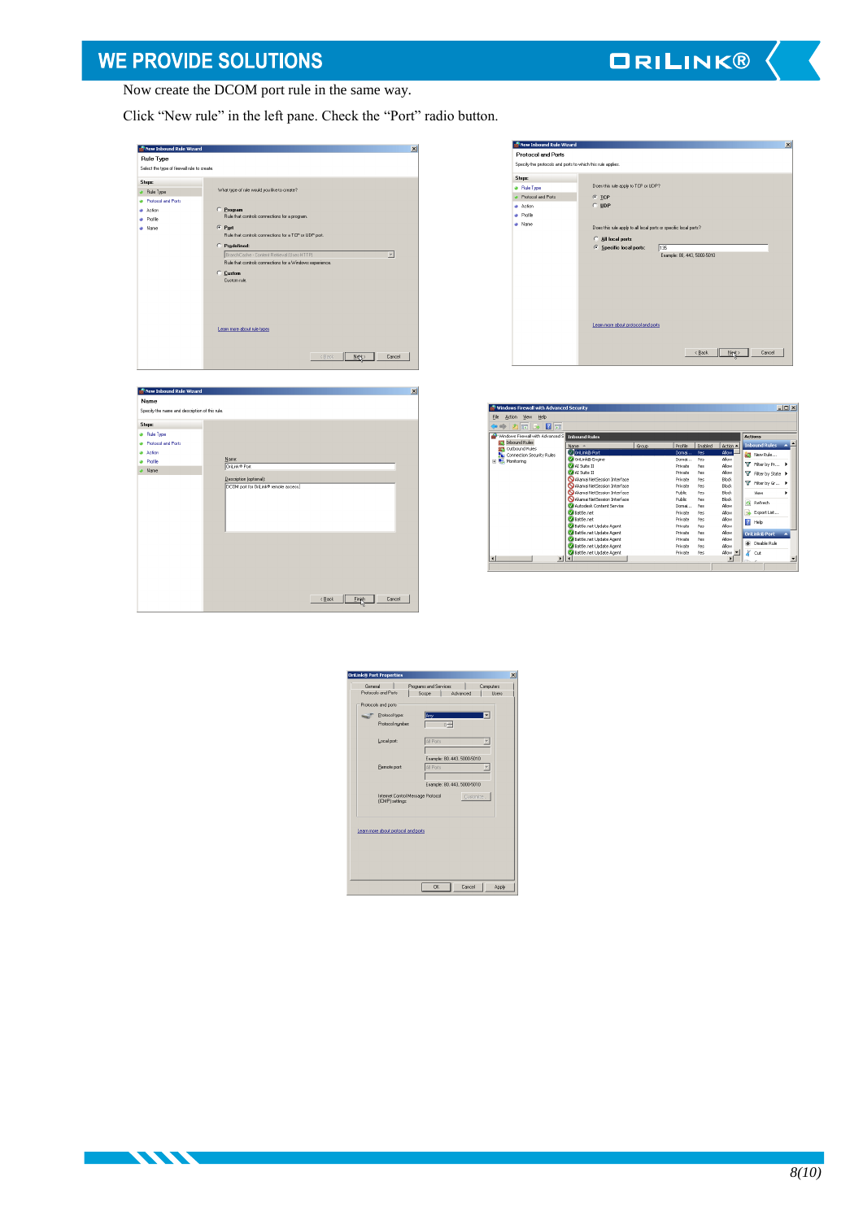**ORILINK®** 

Now create the DCOM port rule in the same way.

Click "New rule" in the left pane. Check the "Port" radio button.

| <b>Rule Type</b><br>Select the tupe of firewall rule to create.                      |                                                                                                                                                                                                                                                                                                                                                                                                                                         |  |
|--------------------------------------------------------------------------------------|-----------------------------------------------------------------------------------------------------------------------------------------------------------------------------------------------------------------------------------------------------------------------------------------------------------------------------------------------------------------------------------------------------------------------------------------|--|
| <b>Steps:</b><br>Rule Type<br><b>Protocol and Ports</b><br>Action<br>Profile<br>Name | What type of rule would you like to create?<br>C Program<br>Rule that controls connections for a program.<br>$C$ Port<br>Rule that controls connections for a TCP or UDP port.<br>C Predefined:<br>BranchCache - Content Retrieval (Uses HTTP)<br>$\overline{\phantom{a}}$<br>Rule that controls connections for a Windows experience.<br>C Custom<br>Custom rule.<br>Learn more about rule types<br><back<br>Cancel<br/>Net:</back<br> |  |

| Name<br>Specify the name and description of this rule. |                                       |  |
|--------------------------------------------------------|---------------------------------------|--|
| <b>Steps:</b>                                          |                                       |  |
| · Rule Type                                            |                                       |  |
| <b>a</b> Protocol and Ports                            |                                       |  |
| Action                                                 |                                       |  |
| · Profile                                              | Name:<br>DriLink® Port                |  |
| Name                                                   |                                       |  |
|                                                        | Description (optional):               |  |
|                                                        | DCOM port for OriLink® remote access. |  |
|                                                        |                                       |  |
|                                                        |                                       |  |
|                                                        |                                       |  |
|                                                        |                                       |  |
|                                                        |                                       |  |
|                                                        |                                       |  |
|                                                        |                                       |  |
|                                                        |                                       |  |
|                                                        |                                       |  |
|                                                        |                                       |  |
|                                                        |                                       |  |
|                                                        | Cancel<br>< Back<br>Einish            |  |

**TANA E** 

| New Inbound Rule Wizard                                     |                                                                  | $\vert x \vert$ |
|-------------------------------------------------------------|------------------------------------------------------------------|-----------------|
| <b>Protocol and Ports</b>                                   |                                                                  |                 |
| Specify the protocols and ports to which this rule applies. |                                                                  |                 |
| <b>Steps:</b>                                               |                                                                  |                 |
| <b>a</b> Rule Type                                          | Does this rule apply to TCP or UDP?                              |                 |
| Protocol and Ports                                          | $G$ TCP                                                          |                 |
| Action                                                      | $C$ UDP                                                          |                 |
| Profile                                                     |                                                                  |                 |
| Name                                                        | Does this rule apply to all local ports or specific local ports? |                 |
|                                                             |                                                                  |                 |
|                                                             | All local ports                                                  |                 |
|                                                             | C Specific local ports:<br>135<br>Example: 80, 443, 5000-5010    |                 |
|                                                             |                                                                  |                 |
|                                                             |                                                                  |                 |
|                                                             |                                                                  |                 |
|                                                             |                                                                  |                 |
|                                                             |                                                                  |                 |
|                                                             |                                                                  |                 |
|                                                             |                                                                  |                 |
|                                                             | Learn more about protocol and ports                              |                 |
|                                                             |                                                                  |                 |
|                                                             |                                                                  |                 |
|                                                             | Cancel<br>< Back<br>Next:                                        |                 |
|                                                             |                                                                  |                 |

| $\Rightarrow$ 2 $\equiv$ 2 $\equiv$                    |                              |       |         |         |                |                        |   |
|--------------------------------------------------------|------------------------------|-------|---------|---------|----------------|------------------------|---|
| Windows Firewall with Advanced S.                      | <b>Tobound Rules</b>         |       |         |         |                | <b>Actions</b>         |   |
| <b>ST1</b> Inbound Rules<br><b>Outbound Rules</b><br>w | Name -                       | Group | Profile | Enabled | Action A       | <b>Inbound Rules</b>   | × |
| Connection Security Rules                              | Oritink® Port                |       | Domai   | Yes     | Allow          | <b>NEW Rule</b>        |   |
| Monitoring<br>围                                        | C Critink® Engine            |       | Domai   | Yes     | Allow          |                        |   |
|                                                        | At Suite II                  |       | Private | Yes     | Allow          | Filter by Pr >         |   |
|                                                        | AT Suite 11                  |       | Private | Yes     | Allow          | T Filter by State ▶    |   |
|                                                        | Akamai NetSession Interface  |       | Private | Yes     | <b>Block</b>   |                        |   |
|                                                        | Akamai NetSession Interface  |       | Private | Yes     | <b>Block</b>   | Filter by Gr >         |   |
|                                                        | Akamai NetSession Interface  |       | Public  | Yes.    | Block          | View                   | ٠ |
|                                                        | Nakamai NetSession Interface |       | Public  | Yes     | Block          | a<br>Refresh           |   |
|                                                        | Autodesk Content Service     |       | Domai   | Yes     | Allow          |                        |   |
|                                                        | <b>M</b> Battle.net          |       | Private | Yes     | Albw           | B<br>Export List       |   |
|                                                        | M Battle net                 |       | Private | Yes     | Allow          | $\overline{z}$<br>Help |   |
|                                                        | C Battle.net Update Agent    |       | Private | Yes     | Allow          |                        |   |
|                                                        | Battle.net Update Agent      |       | Private | Yes     | Allow          | <b>OriLink® Port</b>   |   |
|                                                        | ColBattle.net Uodate Agent   |       | Private | Yes     | Allow          |                        |   |
|                                                        | C Battle.net Update Agent    |       | Private | Yes     | Allow          | œ.<br>Disable Rule     |   |
|                                                        | Battle.net Update Agent      |       | Private | Yes     | Nlow           | k<br>Cut               |   |
| <b>KI</b><br>$\mathbf{E}$                              | $\left  \cdot \right $       |       |         |         | $\overline{ }$ |                        |   |

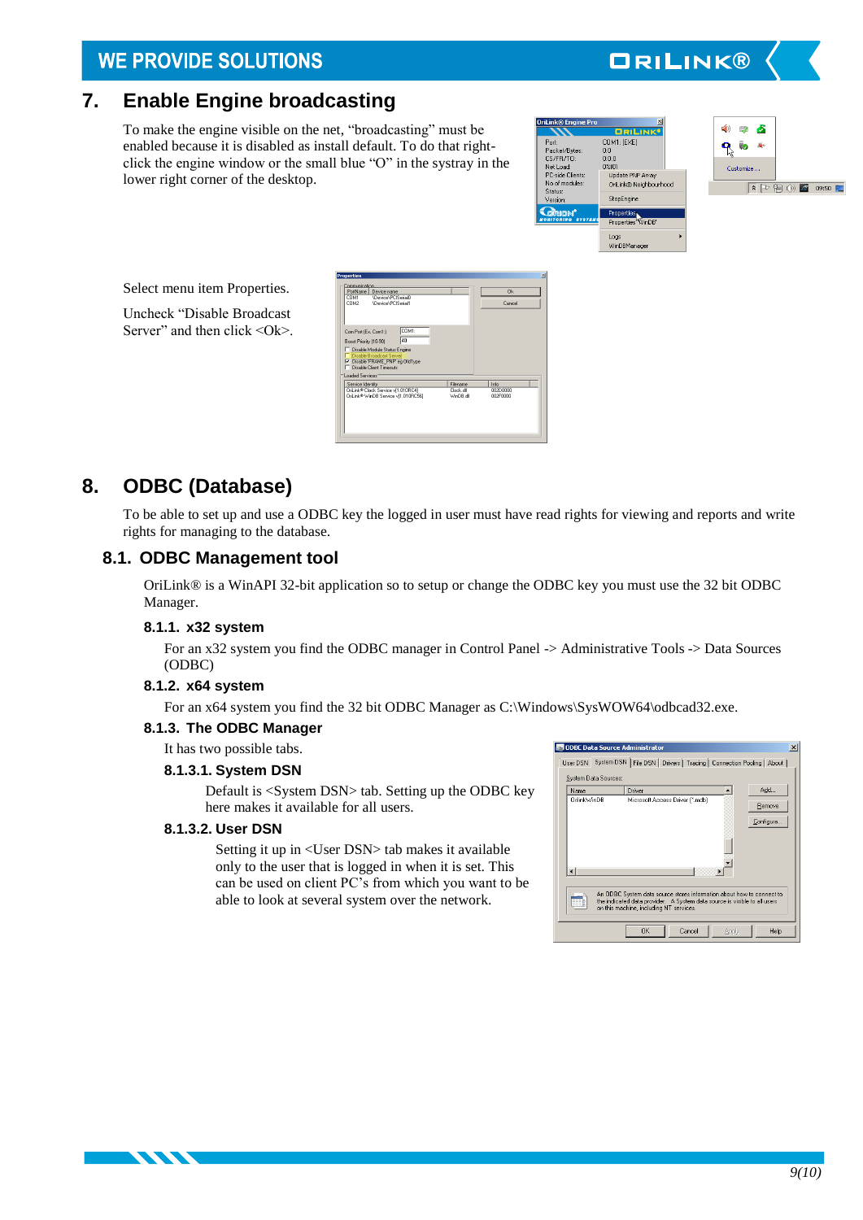# <span id="page-8-0"></span>**7. Enable Engine broadcasting**

To make the engine visible on the net, "broadcasting" must be enabled because it is disabled as install default. To do that rightclick the engine window or the small blue "O" in the systray in the lower right corner of the desktop.



**ORILINK®** 



Select menu item Properties.

Uncheck "Disable Broadcast Server" and then click  $\langle$ Ok $>$ 



# <span id="page-8-1"></span>**8. ODBC (Database)**

To be able to set up and use a ODBC key the logged in user must have read rights for viewing and reports and write rights for managing to the database.

### <span id="page-8-2"></span>**8.1. ODBC Management tool**

OriLink® is a WinAPI 32-bit application so to setup or change the ODBC key you must use the 32 bit ODBC Manager.

### <span id="page-8-3"></span>**8.1.1. x32 system**

For an x32 system you find the ODBC manager in Control Panel -> Administrative Tools -> Data Sources (ODBC)

### <span id="page-8-4"></span>**8.1.2. x64 system**

For an x64 system you find the 32 bit ODBC Manager as C:\Windows\SysWOW64\odbcad32.exe.

### <span id="page-8-5"></span>**8.1.3. The ODBC Manager**

It has two possible tabs.

### **8.1.3.1. System DSN**

Default is <System DSN> tab. Setting up the ODBC key here makes it available for all users.

### **8.1.3.2. User DSN**

**TANA** 

Setting it up in <User DSN> tab makes it available only to the user that is logged in when it is set. This can be used on client PC's from which you want to be able to look at several system over the network.

| ODBC Data Source Administrator |                                                                                                                                                                                               | $\boldsymbol{\mathsf{x}}$ |
|--------------------------------|-----------------------------------------------------------------------------------------------------------------------------------------------------------------------------------------------|---------------------------|
|                                | User DSN System DSN   File DSN   Drivers   Tracing   Connection Pooling   About                                                                                                               |                           |
| System Data Sources:           |                                                                                                                                                                                               |                           |
| Name                           | Add<br>Driver                                                                                                                                                                                 |                           |
| OnlinkWinDB                    | Microsoft Access Driver [".mdb]<br>Remove                                                                                                                                                     |                           |
|                                | Configure.                                                                                                                                                                                    |                           |
|                                |                                                                                                                                                                                               |                           |
|                                | ٠                                                                                                                                                                                             |                           |
|                                | An ODBC System data source stores information about how to connect to<br>the indicated data provider. A System data source is visible to all users<br>on this machine, including NT services. |                           |
|                                | <b>OK</b><br>Help<br>Cancel<br>Apply                                                                                                                                                          |                           |